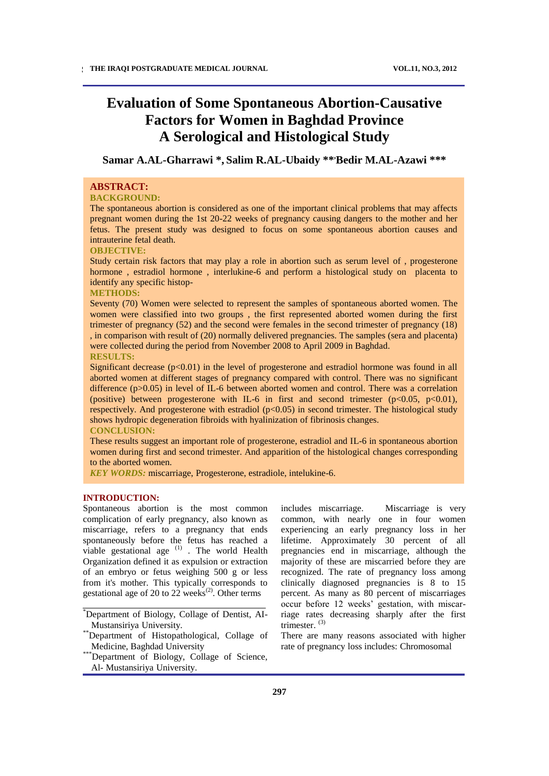# **Evaluation of Some Spontaneous Abortion-Causative Factors for Women in Baghdad Province A Serological and Histological Study**

**Samar A.AL-Gharrawi \*, Salim R.AL-Ubaidy \*\*,Bedir M.AL-Azawi \*\*\***

# **ABSTRACT:**

# **BACKGROUND:**

The spontaneous abortion is considered as one of the important clinical problems that may affects pregnant women during the 1st 20-22 weeks of pregnancy causing dangers to the mother and her fetus. The present study was designed to focus on some spontaneous abortion causes and intrauterine fetal death.

#### **OBJECTIVE:**

Study certain risk factors that may play a role in abortion such as serum level of , progesterone hormone , estradiol hormone , interlukine-6 and perform a histological study on placenta to identify any specific histop-

# **METHODS:**

Seventy (70) Women were selected to represent the samples of spontaneous aborted women. The women were classified into two groups , the first represented aborted women during the first trimester of pregnancy (52) and the second were females in the second trimester of pregnancy (18) , in comparison with result of (20) normally delivered pregnancies. The samples (sera and placenta) were collected during the period from November 2008 to April 2009 in Baghdad.

# **RESULTS:**

Significant decrease  $(p<0.01)$  in the level of progesterone and estradiol hormone was found in all aborted women at different stages of pregnancy compared with control. There was no significant difference (p>0.05) in level of IL-6 between aborted women and control. There was a correlation (positive) between progesterone with IL-6 in first and second trimester  $(p<0.05, p<0.01)$ , respectively. And progesterone with estradiol  $(p<0.05)$  in second trimester. The histological study shows hydropic degeneration fibroids with hyalinization of fibrinosis changes. **CONCLUSION:**

These results suggest an important role of progesterone, estradiol and IL-6 in spontaneous abortion women during first and second trimester. And apparition of the histological changes corresponding to the aborted women.

*KEY WORDS:* miscarriage, Progesterone, estradiole, intelukine-6.

# **INTRODUCTION:**

Spontaneous abortion is the most common complication of early pregnancy, also known as miscarriage, refers to a pregnancy that ends spontaneously before the fetus has reached a viable gestational age  $(1)$ . The world Health Organization defined it as expulsion or extraction of an embryo or fetus weighing 500 g or less from it's mother. This typically corresponds to gestational age of 20 to 22 weeks $^{(2)}$ . Other terms

includes miscarriage. Miscarriage is very common, with nearly one in four women experiencing an early pregnancy loss in her lifetime. Approximately 30 percent of all pregnancies end in miscarriage, although the majority of these are miscarried before they are recognized. The rate of pregnancy loss among clinically diagnosed pregnancies is 8 to 15 percent. As many as 80 percent of miscarriages occur before 12 weeks' gestation, with miscarriage rates decreasing sharply after the first trimester. (3)

There are many reasons associated with higher rate of pregnancy loss includes: Chromosomal

<sup>\*</sup>Department of Biology, Collage of Dentist, AI-Mustansiriya University.

<sup>\*\*</sup>Department of Histopathological, Collage of Medicine, Baghdad University

<sup>\*</sup>Department of Biology, Collage of Science, Al- Mustansiriya University.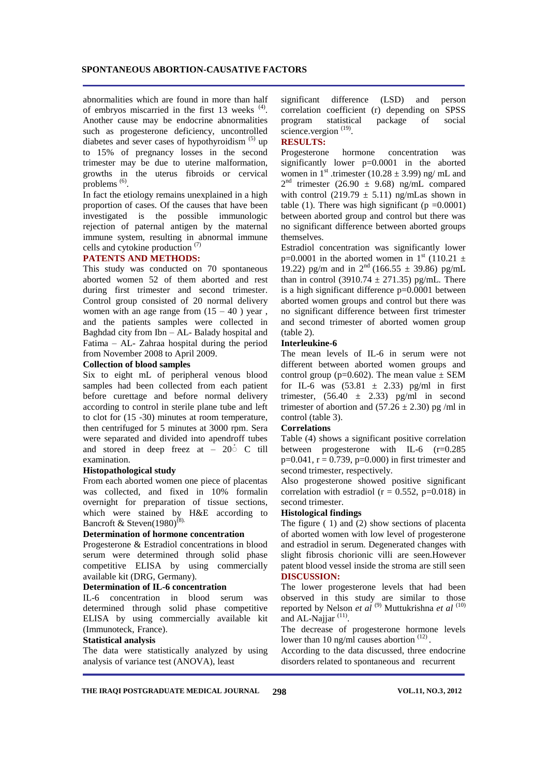# **SPONTANEOUS ABORTION-CAUSATIVE FACTORS**

abnormalities which are found in more than half of embryos miscarried in the first  $13$  weeks  $(4)$ . Another cause may be endocrine abnormalities such as progesterone deficiency, uncontrolled diabetes and sever cases of hypothyroidism<sup>(5)</sup> up to 15% of pregnancy losses in the second trimester may be due to uterine malformation, growths in the uterus fibroids or cervical problems  $<sup>(6)</sup>$ .</sup>

In fact the etiology remains unexplained in a high proportion of cases. Of the causes that have been investigated is the possible immunologic rejection of paternal antigen by the maternal immune system, resulting in abnormal immune cells and cytokine production (7)

### **PATENTS AND METHODS:**

This study was conducted on 70 spontaneous aborted women 52 of them aborted and rest during first trimester and second trimester. Control group consisted of 20 normal delivery women with an age range from  $(15 - 40)$  year, and the patients samples were collected in Baghdad city from Ibn – AL- Balady hospital and Fatima – AL- Zahraa hospital during the period from November 2008 to April 2009.

#### **Collection of blood samples**

Six to eight mL of peripheral venous blood samples had been collected from each patient before curettage and before normal delivery according to control in sterile plane tube and left to clot for (15 -30) minutes at room temperature, then centrifuged for 5 minutes at 3000 rpm. Sera were separated and divided into apendroff tubes and stored in deep freez at  $-20^{\circ}$  C till examination.

# **Histopathological study**

From each aborted women one piece of placentas was collected, and fixed in 10% formalin overnight for preparation of tissue sections, which were stained by H&E according to Bancroft & Steven $(1980)^{(8)}$ .

# **Determination of hormone concentration**

Progesterone & Estradiol concentrations in blood serum were determined through solid phase competitive ELISA by using commercially available kit (DRG, Germany).

#### **Determination of IL-6 concentration**

IL-6 concentration in blood serum was determined through solid phase competitive ELISA by using commercially available kit (Immunoteck, France).

### **Statistical analysis**

The data were statistically analyzed by using analysis of variance test (ANOVA), least

significant difference (LSD) and person correlation coefficient (r) depending on SPSS program statistical package of social science.vergion<sup>(19)</sup>.

# **RESULTS:**

Progesterone hormone concentration was significantly lower p=0.0001 in the aborted women in  $1<sup>st</sup>$  .trimester (10.28  $\pm$  3.99) ng/ mL and  $2<sup>nd</sup>$  trimester (26.90  $\pm$  9.68) ng/mL compared with control (219.79  $\pm$  5.11) ng/mLas shown in table (1). There was high significant ( $p = 0.0001$ ) between aborted group and control but there was no significant difference between aborted groups themselves.

Estradiol concentration was significantly lower p=0.0001 in the aborted women in  $1<sup>st</sup>$  (110.21  $\pm$ 19.22) pg/m and in  $2<sup>nd</sup>$  (166.55  $\pm$  39.86) pg/mL than in control (3910.74  $\pm$  271.35) pg/mL. There is a high significant difference  $p=0.0001$  between aborted women groups and control but there was no significant difference between first trimester and second trimester of aborted women group (table 2).

# **Interleukine-6**

The mean levels of IL-6 in serum were not different between aborted women groups and control group ( $p=0.602$ ). The mean value  $\pm$  SEM for IL-6 was  $(53.81 \pm 2.33)$  pg/ml in first trimester,  $(56.40 \pm 2.33)$  pg/ml in second trimester of abortion and  $(57.26 \pm 2.30)$  pg/ml in control (table 3).

# **Correlations**

Table (4) shows a significant positive correlation between progesterone with IL-6 (r=0.285  $p=0.041$ ,  $r = 0.739$ ,  $p=0.000$ ) in first trimester and second trimester, respectively.

Also progesterone showed positive significant correlation with estradiol ( $r = 0.552$ ,  $p=0.018$ ) in second trimester.

# **Histological findings**

The figure ( 1) and (2) show sections of placenta of aborted women with low level of progesterone and estradiol in serum. Degenerated changes with slight fibrosis chorionic villi are seen.However patent blood vessel inside the stroma are still seen **DISCUSSION:**

The lower progesterone levels that had been observed in this study are similar to those reported by Nelson *et al* (9) Muttukrishna *et al* (10) and AL-Najjar<sup>(11)</sup>.

The decrease of progesterone hormone levels lower than 10 ng/ml causes abortion  $(12)$ .

According to the data discussed, three endocrine disorders related to spontaneous and recurrent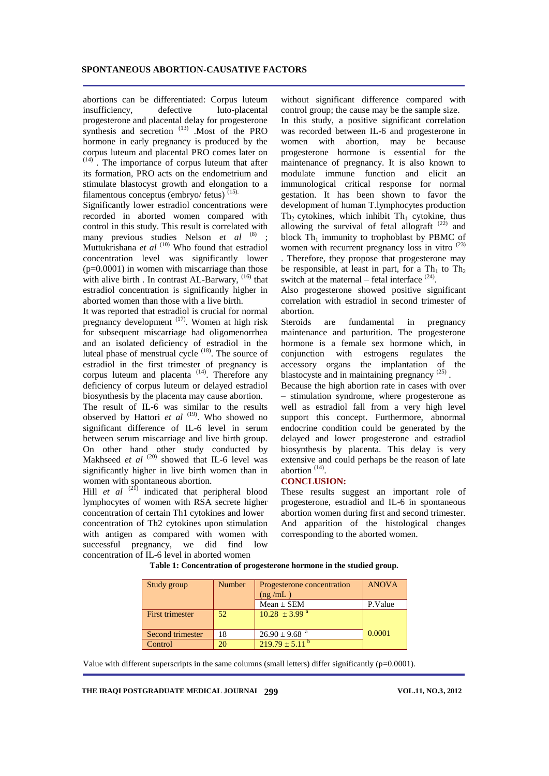abortions can be differentiated: Corpus luteum insufficiency, defective luto-placental progesterone and placental delay for progesterone synthesis and secretion<sup>(13)</sup> .Most of the PRO hormone in early pregnancy is produced by the corpus luteum and placental PRO comes later on (14) . The importance of corpus luteum that after its formation, PRO acts on the endometrium and stimulate blastocyst growth and elongation to a

filamentous conceptus (embryo/ fetus)  $(15)$ . Significantly lower estradiol concentrations were recorded in aborted women compared with control in this study. This result is correlated with many previous studies Nelson *et al* (8); Muttukrishana *et al* <sup>(10)</sup> Who found that estradiol concentration level was significantly lower  $(p=0.0001)$  in women with miscarriage than those with alive birth . In contrast AL-Barwary, <sup>(16)</sup> that estradiol concentration is significantly higher in aborted women than those with a live birth.

It was reported that estradiol is crucial for normal pregnancy development  $(17)$ . Women at high risk for subsequent miscarriage had oligomenorrhea and an isolated deficiency of estradiol in the luteal phase of menstrual cycle  $(18)$ . The source of estradiol in the first trimester of pregnancy is corpus luteum and placenta<sup>(14)</sup>. Therefore any deficiency of corpus luteum or delayed estradiol biosynthesis by the placenta may cause abortion.

The result of IL-6 was similar to the results observed by Hattori *et al* <sup>(19)</sup>. Who showed no significant difference of IL-6 level in serum between serum miscarriage and live birth group. On other hand other study conducted by Makhseed *et al* <sup>(20)</sup> showed that IL-6 level was significantly higher in live birth women than in women with spontaneous abortion.

Hill *et al* <sup>(21)</sup> indicated that peripheral blood lymphocytes of women with RSA secrete higher concentration of certain Th1 cytokines and lower concentration of Th2 cytokines upon stimulation with antigen as compared with women with successful pregnancy, we did find low concentration of IL-6 level in aborted women

without significant difference compared with control group; the cause may be the sample size. In this study, a positive significant correlation was recorded between IL-6 and progesterone in women with abortion, may be because progesterone hormone is essential for the maintenance of pregnancy. It is also known to modulate immune function and elicit an immunological critical response for normal gestation. It has been shown to favor the development of human T.lymphocytes production Th<sub>2</sub> cytokines, which inhibit Th<sub>1</sub> cytokine, thus allowing the survival of fetal allograft  $(22)$  and block  $Th_1$  immunity to trophoblast by PBMC of women with recurrent pregnancy loss in vitro <sup>(23)</sup>

. Therefore, they propose that progesterone may be responsible, at least in part, for a  $Th_1$  to  $Th_2$ switch at the maternal  $-$  fetal interface  $(24)$ .

Also progesterone showed positive significant correlation with estradiol in second trimester of abortion.

Steroids are fundamental in pregnancy maintenance and parturition. The progesterone hormone is a female sex hormone which, in conjunction with estrogens regulates the accessory organs the implantation of the blastocyste and in maintaining pregnancy  $(25)$ .

Because the high abortion rate in cases with over – stimulation syndrome, where progesterone as well as estradiol fall from a very high level support this concept. Furthermore, abnormal endocrine condition could be generated by the delayed and lower progesterone and estradiol biosynthesis by placenta. This delay is very extensive and could perhaps be the reason of late abortion<sup>(14)</sup>.

# **CONCLUSION:**

These results suggest an important role of progesterone, estradiol and IL-6 in spontaneous abortion women during first and second trimester. And apparition of the histological changes corresponding to the aborted women.

| Study group      | <b>Number</b> | Progesterone concentration<br>(ng/mL) | <b>ANOVA</b> |
|------------------|---------------|---------------------------------------|--------------|
|                  |               | $Mean \pm SEM$                        | P.Value      |
| First trimester  | 52            | $10.28 \pm 3.99$ <sup>a</sup>         |              |
| Second trimester | 18            | $26.90 \pm 9.68$ <sup>a</sup>         | 0.0001       |
| Control          | 20            | $219.79 \pm 5.11^{\text{b}}$          |              |

**Table 1: Concentration of progesterone hormone in the studied group.**

Value with different superscripts in the same columns (small letters) differ significantly ( $p=0.0001$ ).

**THE IRAQI POSTGRADUATE MEDICAL JOURNAL 299 VOL.11, NO.3, 2012**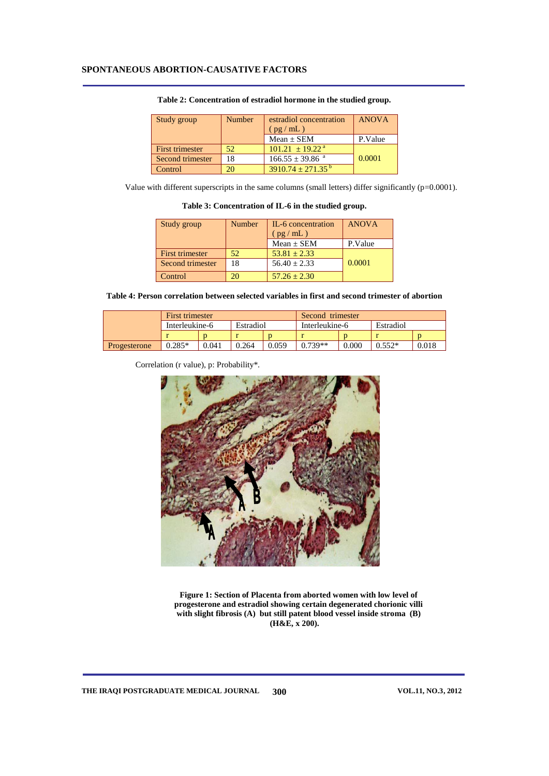| Study group      | <b>Number</b> | estradiol concentration<br>(pg/mL) | <b>ANOVA</b> |
|------------------|---------------|------------------------------------|--------------|
|                  |               |                                    |              |
|                  |               | $Mean \pm SEM$                     | P.Value      |
| First trimester  | 52            | $101.21 + 19.22^{\text{a}}$        |              |
| Second trimester | 18            | $166.55 \pm 39.86$ <sup>a</sup>    | 0.0001       |
| Control          |               | $3910.74 \pm 271.35^{\circ}$       |              |

#### **Table 2: Concentration of estradiol hormone in the studied group.**

Value with different superscripts in the same columns (small letters) differ significantly (p=0.0001).

**Table 3: Concentration of IL-6 in the studied group.**

| Study group            | Number | IL-6 concentration | <b>ANOVA</b> |
|------------------------|--------|--------------------|--------------|
|                        |        | (pg/mL)            |              |
|                        |        | $Mean \pm SEM$     | P.Value      |
| <b>First trimester</b> | 52     | $53.81 \pm 2.33$   |              |
| Second trimester       | 18     | $56.40 \pm 2.33$   | 0.0001       |
| Control                |        | $57.26 \pm 2.30$   |              |

**Table 4: Person correlation between selected variables in first and second trimester of abortion**

|              | First trimester |       |           | Second trimester |                |           |           |       |
|--------------|-----------------|-------|-----------|------------------|----------------|-----------|-----------|-------|
|              | Interleukine-6  |       | Estradiol |                  | Interleukine-6 |           | Estradiol |       |
|              |                 |       |           |                  |                |           |           |       |
| Progesterone | $0.285*$        | 0.041 | 0.264     | 0.059            | $0.739**$      | $0.000\,$ | $0.552*$  | 0.018 |

Correlation (r value), p: Probability\*.



**Figure 1: Section of Placenta from aborted women with low level of progesterone and estradiol showing certain degenerated chorionic villi with slight fibrosis (A) but still patent blood vessel inside stroma (B) (H&E, x 200).**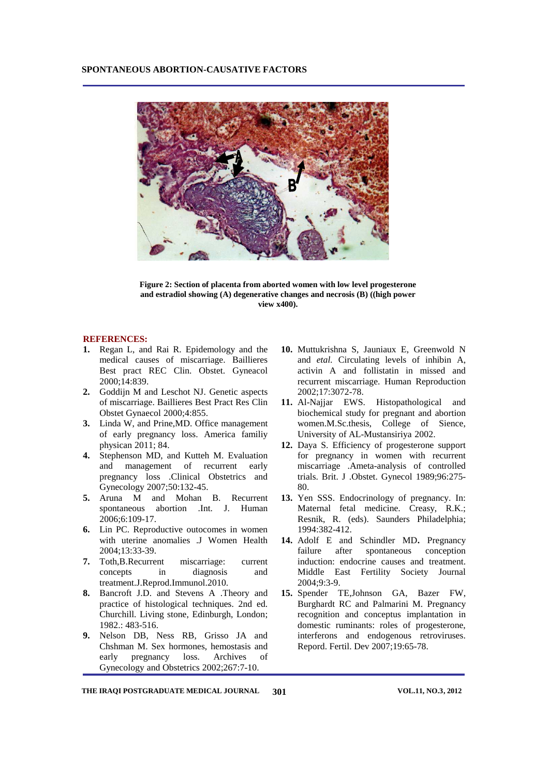

**Figure 2: Section of placenta from aborted women with low level progesterone and estradiol showing (A) degenerative changes and necrosis (B) ((high power view x400).**

# **REFERENCES:**

- **1.** Regan L, and Rai R. Epidemology and the medical causes of miscarriage. Baillieres Best pract REC Clin. Obstet. Gyneacol 2000;14:839.
- **2.** Goddijn M and Leschot NJ. Genetic aspects of miscarriage. Baillieres Best Pract Res Clin Obstet Gynaecol 2000;4:855.
- **3.** Linda W, and Prine,MD. Office management of early pregnancy loss. America familiy physican 2011; 84.
- **4.** Stephenson MD, and Kutteh M. Evaluation and management of recurrent early pregnancy loss .Clinical Obstetrics and Gynecology 2007;50:132-45.
- **5.** Aruna M and Mohan B. Recurrent spontaneous abortion .Int. J. Human 2006;6:109-17.
- **6.** Lin PC. Reproductive outocomes in women with uterine anomalies .J Women Health 2004;13:33-39.
- **7.** Toth,B.Recurrent miscarriage: current concepts in diagnosis and treatment.J.Reprod.Immunol.2010.
- **8.** Bancroft J.D. and Stevens A .Theory and practice of histological techniques. 2nd ed. Churchill. Living stone, Edinburgh, London; 1982.: 483-516.
- **9.** Nelson DB, Ness RB, Grisso JA and Chshman M. Sex hormones, hemostasis and early pregnancy loss. Archives of Gynecology and Obstetrics 2002;267:7-10.
- **10.** Muttukrishna S, Jauniaux E, Greenwold N and *etal.* Circulating levels of inhibin A, activin A and follistatin in missed and recurrent miscarriage. Human Reproduction 2002;17:3072-78.
- **11.** Al-Najjar EWS. Histopathological and biochemical study for pregnant and abortion women.M.Sc.thesis, College of Sience, University of AL-Mustansiriya 2002.
- **12.** Daya S. Efficiency of progesterone support for pregnancy in women with recurrent miscarriage .Ameta-analysis of controlled trials. Brit. J .Obstet. Gynecol 1989;96:275- 80.
- **13.** Yen SSS. Endocrinology of pregnancy. In: Maternal fetal medicine. Creasy, R.K.; Resnik, R. (eds). Saunders Philadelphia; 1994:382-412.
- **14.** Adolf E and Schindler MD**.** Pregnancy failure after spontaneous conception induction: endocrine causes and treatment. Middle East Fertility Society Journal 2004;9:3-9.
- **15.** Spender TE,Johnson GA, Bazer FW, Burghardt RC and Palmarini M. Pregnancy recognition and conceptus implantation in domestic ruminants: roles of progesterone, interferons and endogenous retroviruses. Repord. Fertil. Dev 2007;19:65-78.

THE IRAQI POSTGRADUATE MEDICAL JOURNAL 301 VOL.11, NO.3, 2012 **301**